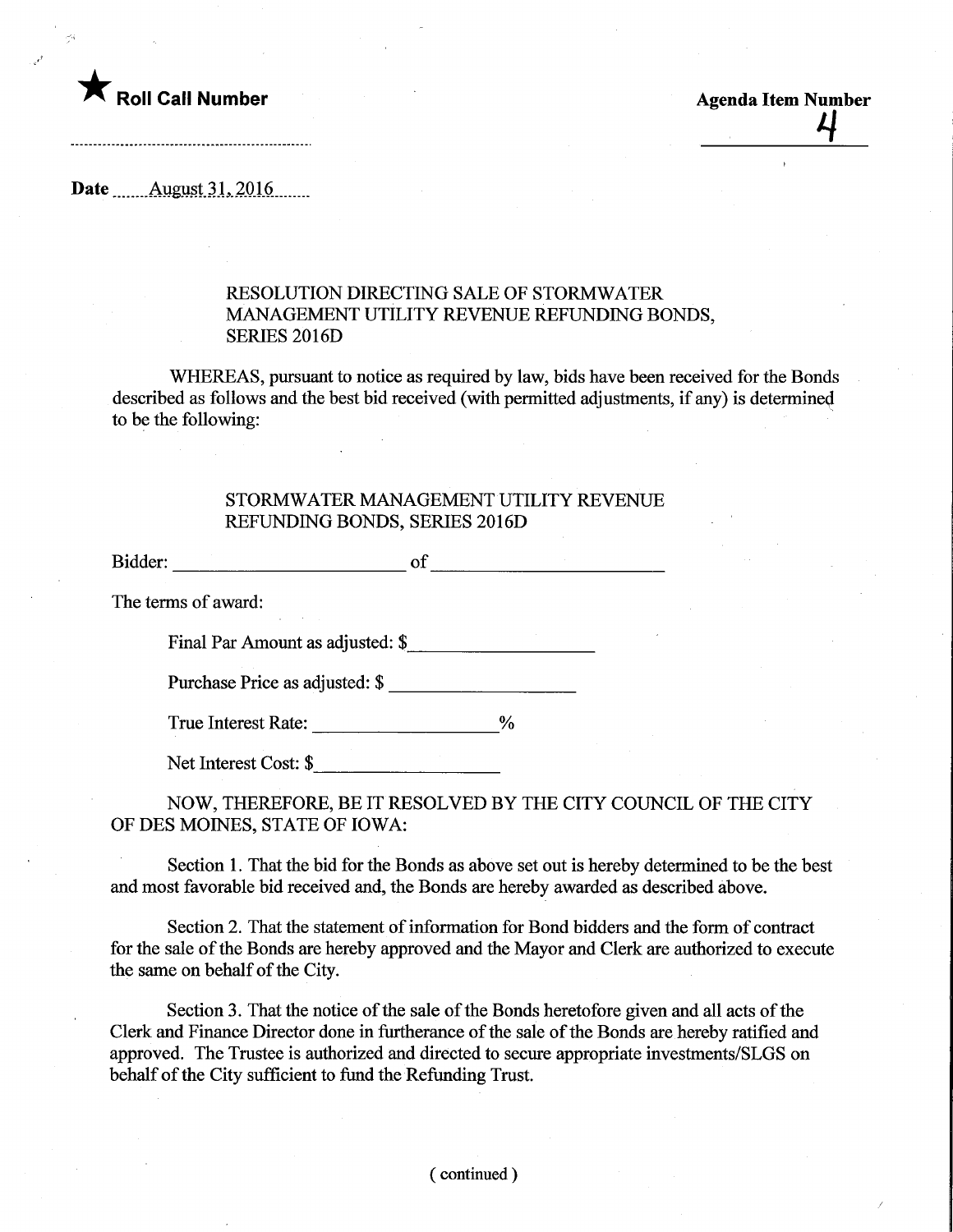

-------------------------------------

Date ........August.31,.2016.

## RESOLUTION DIRECTING SALE OF STORMWATER MANAGEMENT UTILITY REVENUE REFUNDING BONDS, SERIES 2016D

WHEREAS, pursuant to notice as required by law, bids have been received for the Bonds described as follows and the best bid received (with permitted adjustments, if any) is determined to be the following:

## STORMWATER MANAGEMENT UTILITY REVENUE REFUNDING BONDS, SERIES 2016D

Bidder: of of the contract of the contract of the contract of the contract of the contract of the contract of the contract of the contract of the contract of the contract of the contract of the contract of the contract of The terms of award:

Final Par Amount as adjusted: \$

Purchase Price as adjusted: \$

True Interest Rate: \_\_\_\_\_\_\_\_\_\_\_\_\_\_\_\_\_\_\_\_\_%

Net Interest Cost: \$

NOW, THEREFORE, BE IT RESOLVED BY THE CITY COUNCIL OF THE CITY OF DES MOINES, STATE OF IOWA:

Section 1. That the bid for the Bonds as above set out is hereby determined to be the best and most favorable bid received and, the Bonds are hereby awarded as described above.

Section 2. That the statement of information for Bond bidders and the form of contract for the sale of the Bonds are hereby approved and the Mayor and Clerk are authorized to execute the same on behalf of the City.

Section 3. That the notice of the sale of the Bonds heretofore given and all acts of the Clerk and Finance Director done in furtherance of the sale of the Bonds are hereby ratified and approved. The Trustee is authorized and directed to secure appropriate investments/SLGS on behalf of the City sufficient to fund the Refunding Trust.